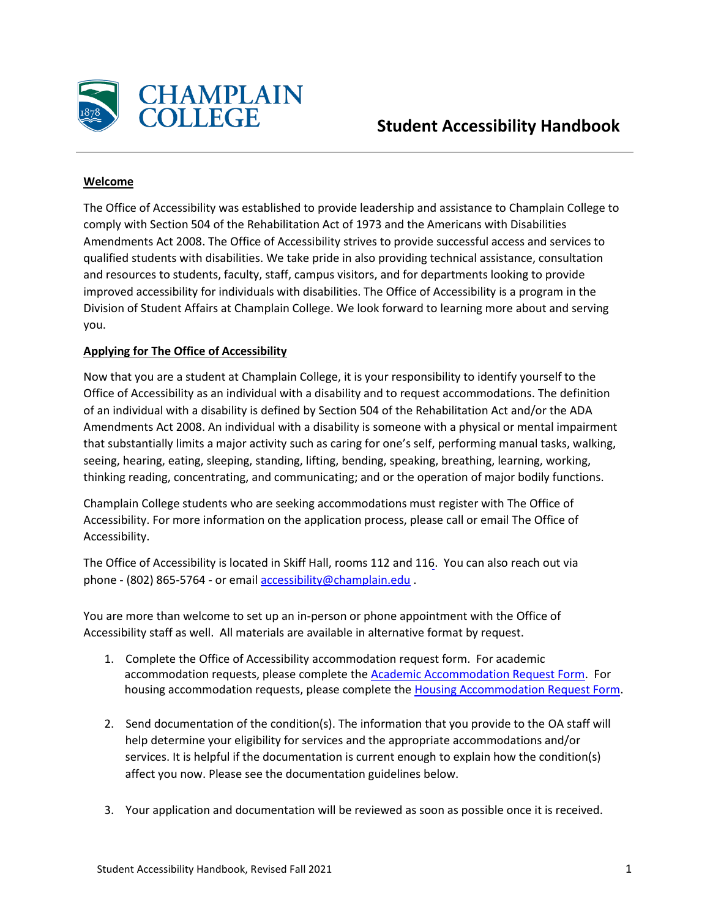

## **Welcome**

The Office of Accessibility was established to provide leadership and assistance to Champlain College to comply with Section 504 of the Rehabilitation Act of 1973 and the Americans with Disabilities Amendments Act 2008. The Office of Accessibility strives to provide successful access and services to qualified students with disabilities. We take pride in also providing technical assistance, consultation and resources to students, faculty, staff, campus visitors, and for departments looking to provide improved accessibility for individuals with disabilities. The Office of Accessibility is a program in the Division of Student Affairs at Champlain College. We look forward to learning more about and serving you.

## **Applying for The Office of Accessibility**

Now that you are a student at Champlain College, it is your responsibility to identify yourself to the Office of Accessibility as an individual with a disability and to request accommodations. The definition of an individual with a disability is defined by Section 504 of the Rehabilitation Act and/or the ADA Amendments Act 2008. An individual with a disability is someone with a physical or mental impairment that substantially limits a major activity such as caring for one's self, performing manual tasks, walking, seeing, hearing, eating, sleeping, standing, lifting, bending, speaking, breathing, learning, working, thinking reading, concentrating, and communicating; and or the operation of major bodily functions.

Champlain College students who are seeking accommodations must register with The Office of Accessibility. For more information on the application process, please call or email The Office of Accessibility.

The Office of Accessibility is located in Skiff Hall, rooms 112 and 116. You can also reach out via phone - (802) 865-5764 - or email [accessibility@champlain.edu](mailto:accessibility@champlain.edu) .

You are more than welcome to set up an in-person or phone appointment with the Office of Accessibility staff as well. All materials are available in alternative format by request.

- 1. Complete the Office of Accessibility accommodation request form. For academic accommodation requests, please complete the [Academic Accommodation Request Form.](https://cm.maxient.com/reportingform.php?ChamplainCollege&layout_id=30) For housing accommodation requests, please complete the [Housing Accommodation Request Form.](https://cm.maxient.com/reportingform.php?ChamplainCollege&layout_id=32)
- 2. Send documentation of the condition(s). The information that you provide to the OA staff will help determine your eligibility for services and the appropriate accommodations and/or services. It is helpful if the documentation is current enough to explain how the condition(s) affect you now. Please see the documentation guidelines below.
- 3. Your application and documentation will be reviewed as soon as possible once it is received.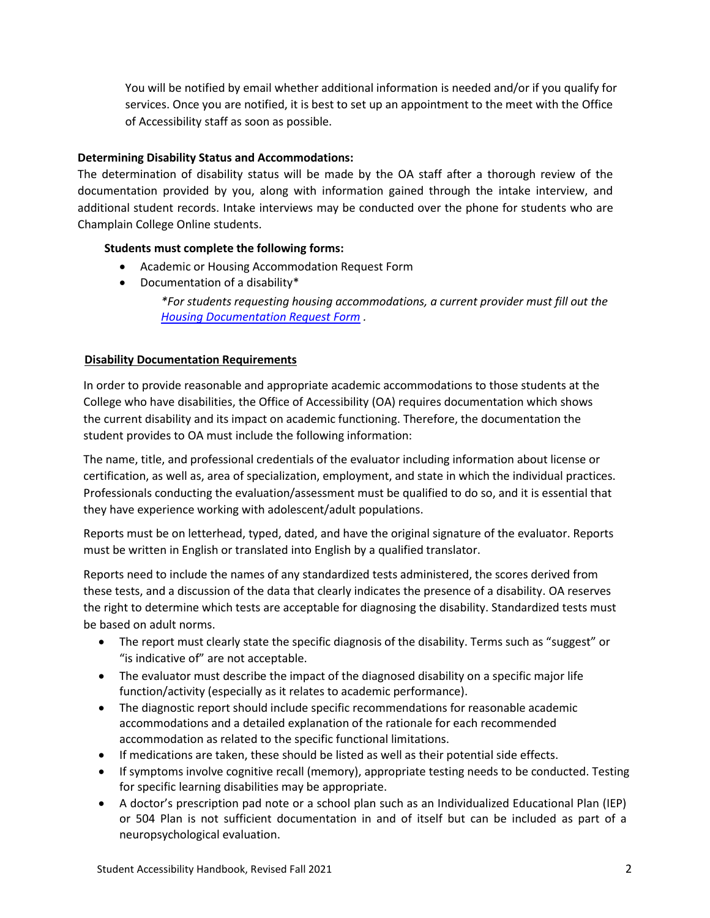You will be notified by email whether additional information is needed and/or if you qualify for services. Once you are notified, it is best to set up an appointment to the meet with the Office of Accessibility staff as soon as possible.

## **Determining Disability Status and Accommodations:**

The determination of disability status will be made by the OA staff after a thorough review of the documentation provided by you, along with information gained through the intake interview, and additional student records. Intake interviews may be conducted over the phone for students who are Champlain College Online students.

## **Students must complete the following forms:**

- Academic or Housing Accommodation Request Form
- Documentation of a disability\*

*\*For students requesting housing accommodations, a current provider must fill out the [Housing Documentation Request Form](https://www.champlain.edu/Documents/Student%20Health%20Services/Forms/ACCOMMODATION-HOUSING-DOCUMENTATION.pdf) .*

# **Disability Documentation Requirements**

In order to provide reasonable and appropriate academic accommodations to those students at the College who have disabilities, the Office of Accessibility (OA) requires documentation which shows the current disability and its impact on academic functioning. Therefore, the documentation the student provides to OA must include the following information:

The name, title, and professional credentials of the evaluator including information about license or certification, as well as, area of specialization, employment, and state in which the individual practices. Professionals conducting the evaluation/assessment must be qualified to do so, and it is essential that they have experience working with adolescent/adult populations.

Reports must be on letterhead, typed, dated, and have the original signature of the evaluator. Reports must be written in English or translated into English by a qualified translator.

Reports need to include the names of any standardized tests administered, the scores derived from these tests, and a discussion of the data that clearly indicates the presence of a disability. OA reserves the right to determine which tests are acceptable for diagnosing the disability. Standardized tests must be based on adult norms.

- The report must clearly state the specific diagnosis of the disability. Terms such as "suggest" or "is indicative of" are not acceptable.
- The evaluator must describe the impact of the diagnosed disability on a specific major life function/activity (especially as it relates to academic performance).
- The diagnostic report should include specific recommendations for reasonable academic accommodations and a detailed explanation of the rationale for each recommended accommodation as related to the specific functional limitations.
- If medications are taken, these should be listed as well as their potential side effects.
- If symptoms involve cognitive recall (memory), appropriate testing needs to be conducted. Testing for specific learning disabilities may be appropriate.
- A doctor's prescription pad note or a school plan such as an Individualized Educational Plan (IEP) or 504 Plan is not sufficient documentation in and of itself but can be included as part of a neuropsychological evaluation.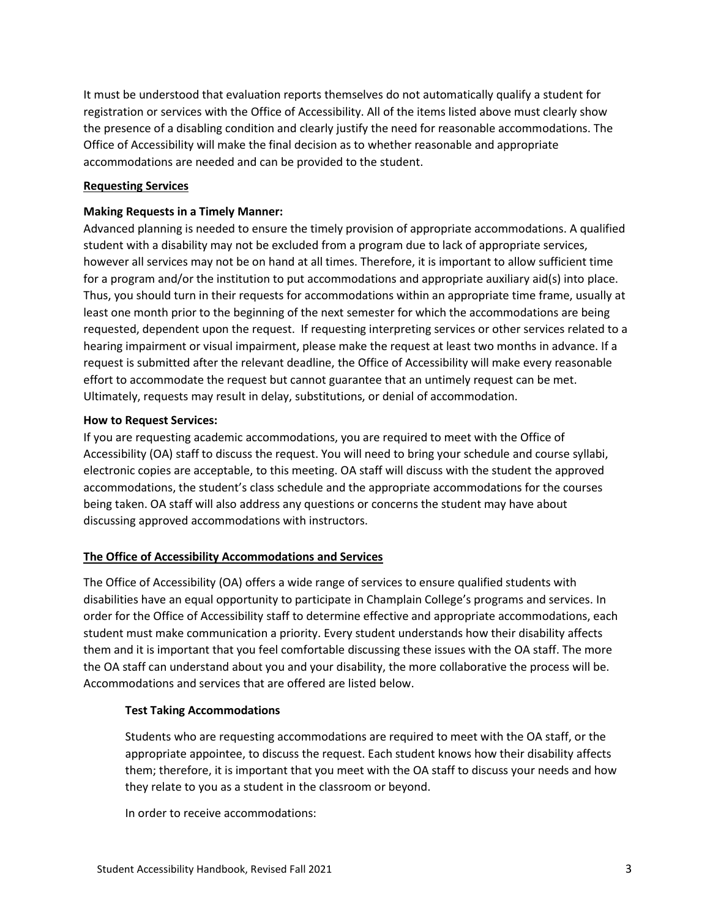It must be understood that evaluation reports themselves do not automatically qualify a student for registration or services with the Office of Accessibility. All of the items listed above must clearly show the presence of a disabling condition and clearly justify the need for reasonable accommodations. The Office of Accessibility will make the final decision as to whether reasonable and appropriate accommodations are needed and can be provided to the student.

### **Requesting Services**

### **Making Requests in a Timely Manner:**

Advanced planning is needed to ensure the timely provision of appropriate accommodations. A qualified student with a disability may not be excluded from a program due to lack of appropriate services, however all services may not be on hand at all times. Therefore, it is important to allow sufficient time for a program and/or the institution to put accommodations and appropriate auxiliary aid(s) into place. Thus, you should turn in their requests for accommodations within an appropriate time frame, usually at least one month prior to the beginning of the next semester for which the accommodations are being requested, dependent upon the request. If requesting interpreting services or other services related to a hearing impairment or visual impairment, please make the request at least two months in advance. If a request is submitted after the relevant deadline, the Office of Accessibility will make every reasonable effort to accommodate the request but cannot guarantee that an untimely request can be met. Ultimately, requests may result in delay, substitutions, or denial of accommodation.

### **How to Request Services:**

If you are requesting academic accommodations, you are required to meet with the Office of Accessibility (OA) staff to discuss the request. You will need to bring your schedule and course syllabi, electronic copies are acceptable, to this meeting. OA staff will discuss with the student the approved accommodations, the student's class schedule and the appropriate accommodations for the courses being taken. OA staff will also address any questions or concerns the student may have about discussing approved accommodations with instructors.

## **The Office of Accessibility Accommodations and Services**

The Office of Accessibility (OA) offers a wide range of services to ensure qualified students with disabilities have an equal opportunity to participate in Champlain College's programs and services. In order for the Office of Accessibility staff to determine effective and appropriate accommodations, each student must make communication a priority. Every student understands how their disability affects them and it is important that you feel comfortable discussing these issues with the OA staff. The more the OA staff can understand about you and your disability, the more collaborative the process will be. Accommodations and services that are offered are listed below.

### **Test Taking Accommodations**

Students who are requesting accommodations are required to meet with the OA staff, or the appropriate appointee, to discuss the request. Each student knows how their disability affects them; therefore, it is important that you meet with the OA staff to discuss your needs and how they relate to you as a student in the classroom or beyond.

In order to receive accommodations: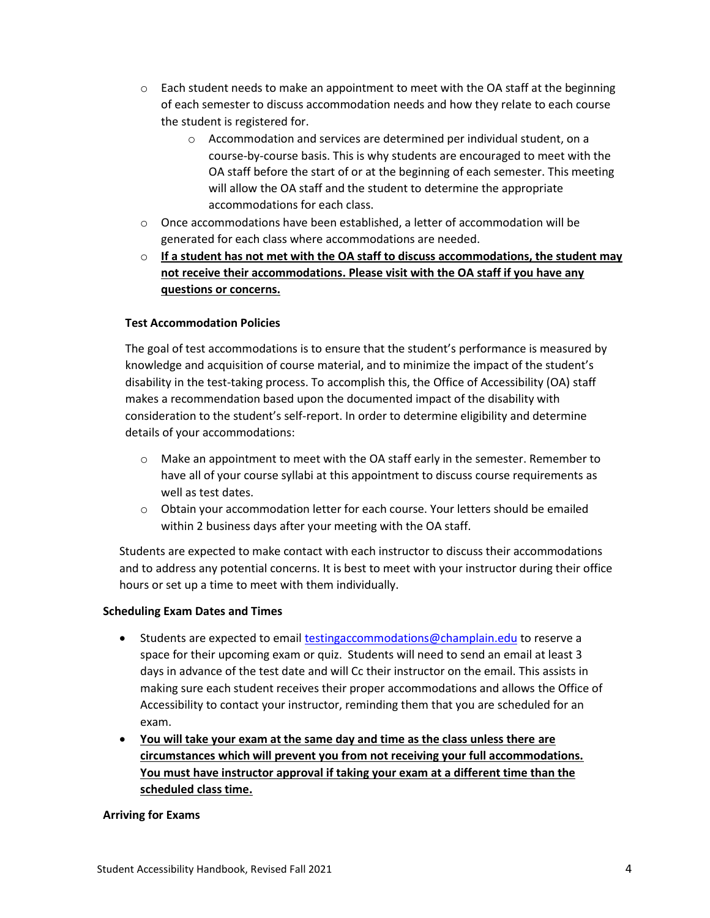- $\circ$  Each student needs to make an appointment to meet with the OA staff at the beginning of each semester to discuss accommodation needs and how they relate to each course the student is registered for.
	- o Accommodation and services are determined per individual student, on a course-by-course basis. This is why students are encouraged to meet with the OA staff before the start of or at the beginning of each semester. This meeting will allow the OA staff and the student to determine the appropriate accommodations for each class.
- o Once accommodations have been established, a letter of accommodation will be generated for each class where accommodations are needed.
- o **If a student has not met with the OA staff to discuss accommodations, the student may not receive their accommodations. Please visit with the OA staff if you have any questions or concerns.**

## **Test Accommodation Policies**

The goal of test accommodations is to ensure that the student's performance is measured by knowledge and acquisition of course material, and to minimize the impact of the student's disability in the test-taking process. To accomplish this, the Office of Accessibility (OA) staff makes a recommendation based upon the documented impact of the disability with consideration to the student's self-report. In order to determine eligibility and determine details of your accommodations:

- o Make an appointment to meet with the OA staff early in the semester. Remember to have all of your course syllabi at this appointment to discuss course requirements as well as test dates.
- o Obtain your accommodation letter for each course. Your letters should be emailed within 2 business days after your meeting with the OA staff.

Students are expected to make contact with each instructor to discuss their accommodations and to address any potential concerns. It is best to meet with your instructor during their office hours or set up a time to meet with them individually.

## **Scheduling Exam Dates and Times**

- Students are expected to emai[l testingaccommodations@champlain.edu](mailto:testingaccommodations@champlain.edu) to reserve a space for their upcoming exam or quiz. Students will need to send an email at least 3 days in advance of the test date and will Cc their instructor on the email. This assists in making sure each student receives their proper accommodations and allows the Office of Accessibility to contact your instructor, reminding them that you are scheduled for an exam.
- **You will take your exam at the same day and time as the class unless there are circumstances which will prevent you from not receiving your full accommodations. You must have instructor approval if taking your exam at a different time than the scheduled class time.**

## **Arriving for Exams**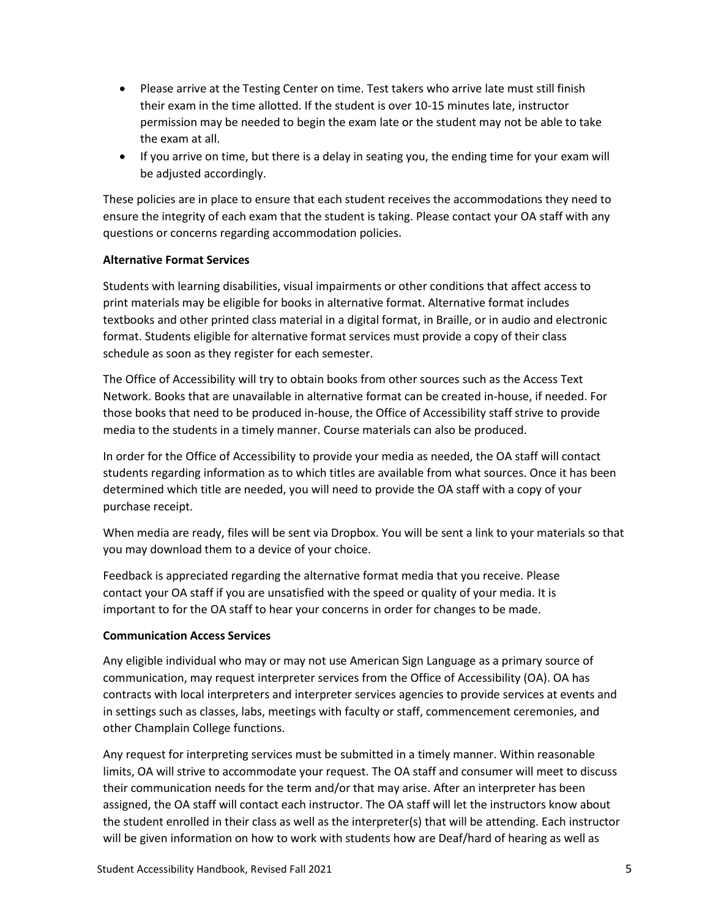- Please arrive at the Testing Center on time. Test takers who arrive late must still finish their exam in the time allotted. If the student is over 10-15 minutes late, instructor permission may be needed to begin the exam late or the student may not be able to take the exam at all.
- If you arrive on time, but there is a delay in seating you, the ending time for your exam will be adjusted accordingly.

These policies are in place to ensure that each student receives the accommodations they need to ensure the integrity of each exam that the student is taking. Please contact your OA staff with any questions or concerns regarding accommodation policies.

## **Alternative Format Services**

Students with learning disabilities, visual impairments or other conditions that affect access to print materials may be eligible for books in alternative format. Alternative format includes textbooks and other printed class material in a digital format, in Braille, or in audio and electronic format. Students eligible for alternative format services must provide a copy of their class schedule as soon as they register for each semester.

The Office of Accessibility will try to obtain books from other sources such as the Access Text Network. Books that are unavailable in alternative format can be created in-house, if needed. For those books that need to be produced in-house, the Office of Accessibility staff strive to provide media to the students in a timely manner. Course materials can also be produced.

In order for the Office of Accessibility to provide your media as needed, the OA staff will contact students regarding information as to which titles are available from what sources. Once it has been determined which title are needed, you will need to provide the OA staff with a copy of your purchase receipt.

When media are ready, files will be sent via Dropbox. You will be sent a link to your materials so that you may download them to a device of your choice.

Feedback is appreciated regarding the alternative format media that you receive. Please contact your OA staff if you are unsatisfied with the speed or quality of your media. It is important to for the OA staff to hear your concerns in order for changes to be made.

## **Communication Access Services**

Any eligible individual who may or may not use American Sign Language as a primary source of communication, may request interpreter services from the Office of Accessibility (OA). OA has contracts with local interpreters and interpreter services agencies to provide services at events and in settings such as classes, labs, meetings with faculty or staff, commencement ceremonies, and other Champlain College functions.

Any request for interpreting services must be submitted in a timely manner. Within reasonable limits, OA will strive to accommodate your request. The OA staff and consumer will meet to discuss their communication needs for the term and/or that may arise. After an interpreter has been assigned, the OA staff will contact each instructor. The OA staff will let the instructors know about the student enrolled in their class as well as the interpreter(s) that will be attending. Each instructor will be given information on how to work with students how are Deaf/hard of hearing as well as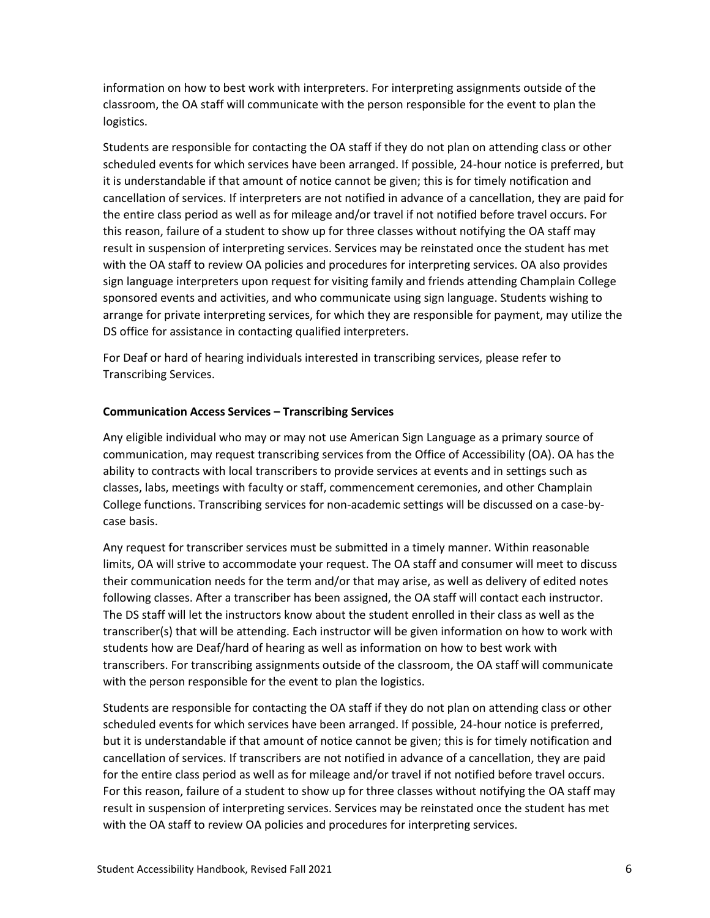information on how to best work with interpreters. For interpreting assignments outside of the classroom, the OA staff will communicate with the person responsible for the event to plan the logistics.

Students are responsible for contacting the OA staff if they do not plan on attending class or other scheduled events for which services have been arranged. If possible, 24-hour notice is preferred, but it is understandable if that amount of notice cannot be given; this is for timely notification and cancellation of services. If interpreters are not notified in advance of a cancellation, they are paid for the entire class period as well as for mileage and/or travel if not notified before travel occurs. For this reason, failure of a student to show up for three classes without notifying the OA staff may result in suspension of interpreting services. Services may be reinstated once the student has met with the OA staff to review OA policies and procedures for interpreting services. OA also provides sign language interpreters upon request for visiting family and friends attending Champlain College sponsored events and activities, and who communicate using sign language. Students wishing to arrange for private interpreting services, for which they are responsible for payment, may utilize the DS office for assistance in contacting qualified interpreters.

For Deaf or hard of hearing individuals interested in transcribing services, please refer to Transcribing Services.

## **Communication Access Services – Transcribing Services**

Any eligible individual who may or may not use American Sign Language as a primary source of communication, may request transcribing services from the Office of Accessibility (OA). OA has the ability to contracts with local transcribers to provide services at events and in settings such as classes, labs, meetings with faculty or staff, commencement ceremonies, and other Champlain College functions. Transcribing services for non-academic settings will be discussed on a case-bycase basis.

Any request for transcriber services must be submitted in a timely manner. Within reasonable limits, OA will strive to accommodate your request. The OA staff and consumer will meet to discuss their communication needs for the term and/or that may arise, as well as delivery of edited notes following classes. After a transcriber has been assigned, the OA staff will contact each instructor. The DS staff will let the instructors know about the student enrolled in their class as well as the transcriber(s) that will be attending. Each instructor will be given information on how to work with students how are Deaf/hard of hearing as well as information on how to best work with transcribers. For transcribing assignments outside of the classroom, the OA staff will communicate with the person responsible for the event to plan the logistics.

Students are responsible for contacting the OA staff if they do not plan on attending class or other scheduled events for which services have been arranged. If possible, 24-hour notice is preferred, but it is understandable if that amount of notice cannot be given; this is for timely notification and cancellation of services. If transcribers are not notified in advance of a cancellation, they are paid for the entire class period as well as for mileage and/or travel if not notified before travel occurs. For this reason, failure of a student to show up for three classes without notifying the OA staff may result in suspension of interpreting services. Services may be reinstated once the student has met with the OA staff to review OA policies and procedures for interpreting services.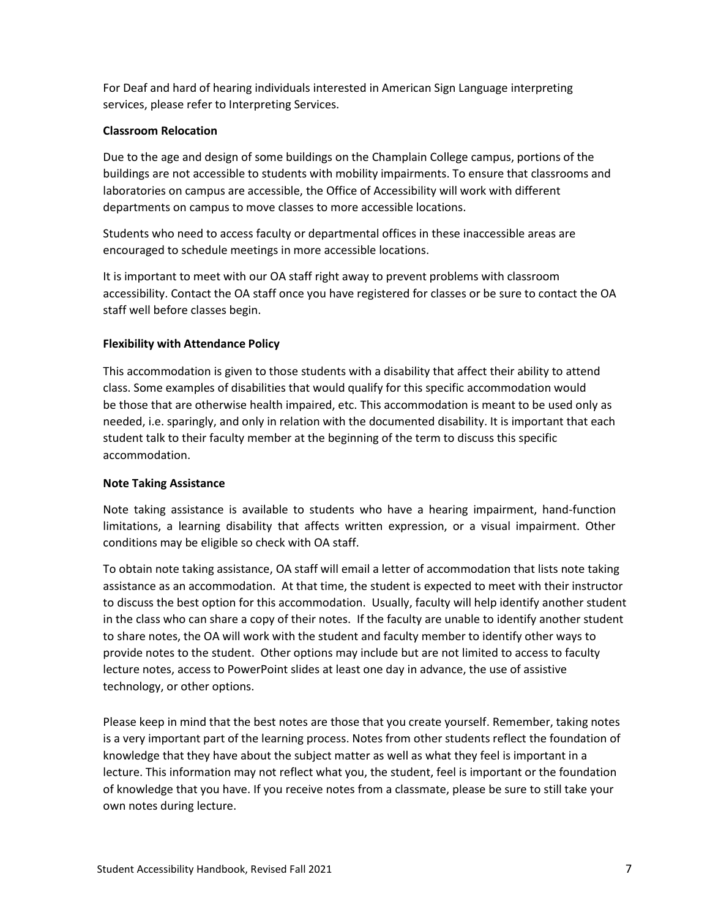For Deaf and hard of hearing individuals interested in American Sign Language interpreting services, please refer to Interpreting Services.

## **Classroom Relocation**

Due to the age and design of some buildings on the Champlain College campus, portions of the buildings are not accessible to students with mobility impairments. To ensure that classrooms and laboratories on campus are accessible, the Office of Accessibility will work with different departments on campus to move classes to more accessible locations.

Students who need to access faculty or departmental offices in these inaccessible areas are encouraged to schedule meetings in more accessible locations.

It is important to meet with our OA staff right away to prevent problems with classroom accessibility. Contact the OA staff once you have registered for classes or be sure to contact the OA staff well before classes begin.

## **Flexibility with Attendance Policy**

This accommodation is given to those students with a disability that affect their ability to attend class. Some examples of disabilities that would qualify for this specific accommodation would be those that are otherwise health impaired, etc. This accommodation is meant to be used only as needed, i.e. sparingly, and only in relation with the documented disability. It is important that each student talk to their faculty member at the beginning of the term to discuss this specific accommodation.

## **Note Taking Assistance**

Note taking assistance is available to students who have a hearing impairment, hand-function limitations, a learning disability that affects written expression, or a visual impairment. Other conditions may be eligible so check with OA staff.

To obtain note taking assistance, OA staff will email a letter of accommodation that lists note taking assistance as an accommodation. At that time, the student is expected to meet with their instructor to discuss the best option for this accommodation. Usually, faculty will help identify another student in the class who can share a copy of their notes. If the faculty are unable to identify another student to share notes, the OA will work with the student and faculty member to identify other ways to provide notes to the student. Other options may include but are not limited to access to faculty lecture notes, access to PowerPoint slides at least one day in advance, the use of assistive technology, or other options.

Please keep in mind that the best notes are those that you create yourself. Remember, taking notes is a very important part of the learning process. Notes from other students reflect the foundation of knowledge that they have about the subject matter as well as what they feel is important in a lecture. This information may not reflect what you, the student, feel is important or the foundation of knowledge that you have. If you receive notes from a classmate, please be sure to still take your own notes during lecture.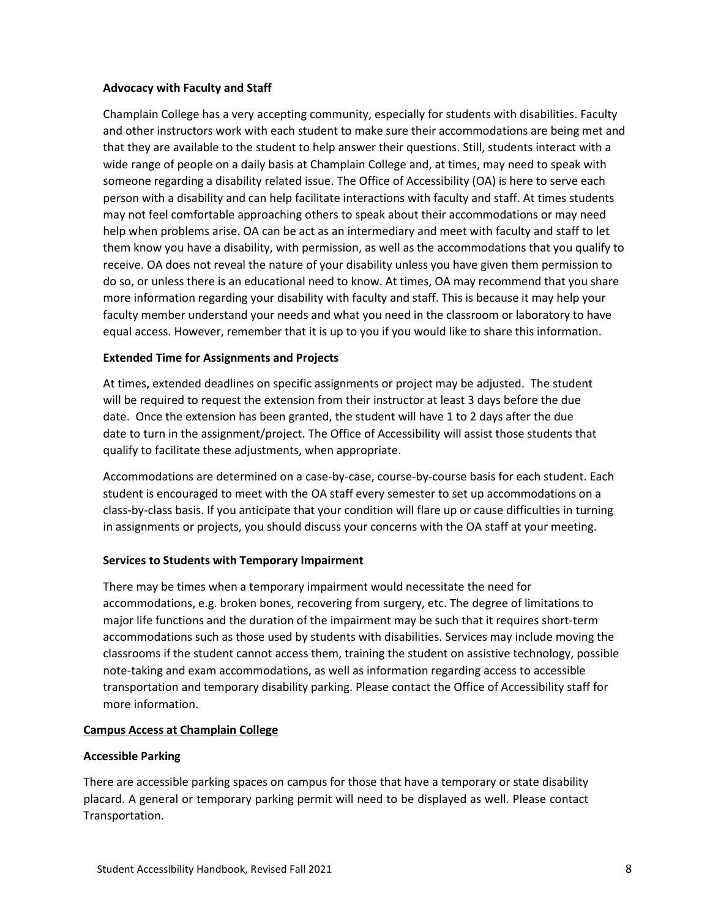### **Advocacy with Faculty and Staff**

Champlain College has a very accepting community, especially for students with disabilities. Faculty and other instructors work with each student to make sure their accommodations are being met and that they are available to the student to help answer their questions. Still, students interact with a wide range of people on a daily basis at Champlain College and, at times, may need to speak with someone regarding a disability related issue. The Office of Accessibility (OA) is here to serve each person with a disability and can help facilitate interactions with faculty and staff. At times students may not feel comfortable approaching others to speak about their accommodations or may need help when problems arise. OA can be act as an intermediary and meet with faculty and staff to let them know you have a disability, with permission, as well as the accommodations that you qualify to receive. OA does not reveal the nature of your disability unless you have given them permission to do so, or unless there is an educational need to know. At times, OA may recommend that you share more information regarding your disability with faculty and staff. This is because it may help your faculty member understand your needs and what you need in the classroom or laboratory to have equal access. However, remember that it is up to you if you would like to share this information.

### **Extended Time for Assignments and Projects**

At times, extended deadlines on specific assignments or project may be adjusted. The student will be required to request the extension from their instructor at least 3 days before the due date. Once the extension has been granted, the student will have 1 to 2 days after the due date to turn in the assignment/project. The Office of Accessibility will assist those students that qualify to facilitate these adjustments, when appropriate.

Accommodations are determined on a case-by-case, course-by-course basis for each student. Each student is encouraged to meet with the OA staff every semester to set up accommodations on a class-by-class basis. If you anticipate that your condition will flare up or cause difficulties in turning in assignments or projects, you should discuss your concerns with the OA staff at your meeting.

## **Services to Students with Temporary Impairment**

There may be times when a temporary impairment would necessitate the need for accommodations, e.g. broken bones, recovering from surgery, etc. The degree of limitations to major life functions and the duration of the impairment may be such that it requires short-term accommodations such as those used by students with disabilities. Services may include moving the classrooms if the student cannot access them, training the student on assistive technology, possible note-taking and exam accommodations, as well as information regarding access to accessible transportation and temporary disability parking. Please contact the Office of Accessibility staff for more information.

## **Campus Access at Champlain College**

#### **Accessible Parking**

There are accessible parking spaces on campus for those that have a temporary or state disability placard. A general or temporary parking permit will need to be displayed as well. Please contact Transportation.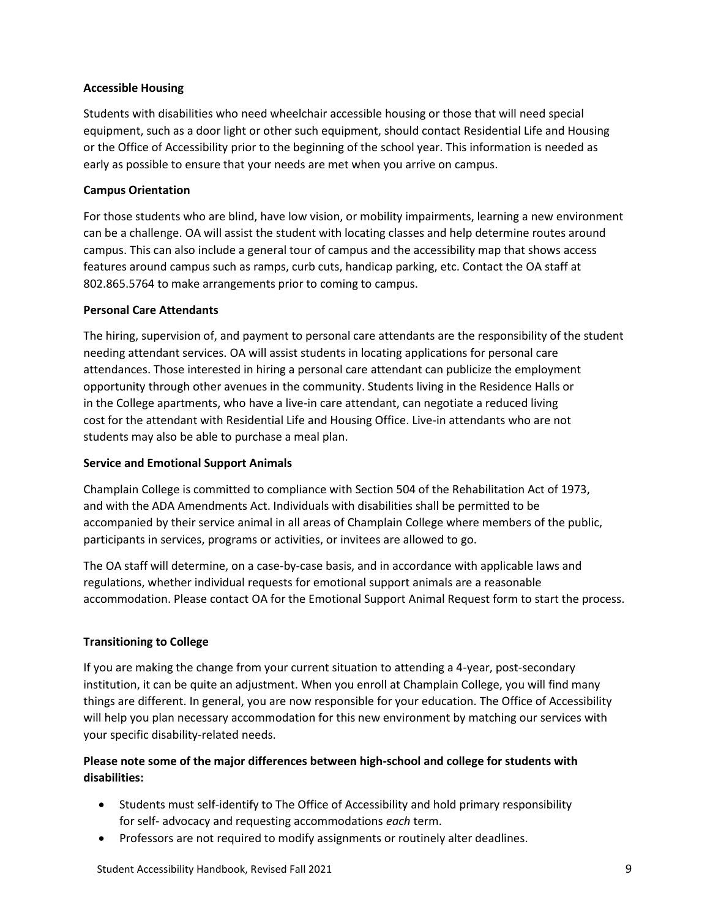## **Accessible Housing**

Students with disabilities who need wheelchair accessible housing or those that will need special equipment, such as a door light or other such equipment, should contact Residential Life and Housing or the Office of Accessibility prior to the beginning of the school year. This information is needed as early as possible to ensure that your needs are met when you arrive on campus.

## **Campus Orientation**

For those students who are blind, have low vision, or mobility impairments, learning a new environment can be a challenge. OA will assist the student with locating classes and help determine routes around campus. This can also include a general tour of campus and the accessibility map that shows access features around campus such as ramps, curb cuts, handicap parking, etc. Contact the OA staff at 802.865.5764 to make arrangements prior to coming to campus.

## **Personal Care Attendants**

The hiring, supervision of, and payment to personal care attendants are the responsibility of the student needing attendant services. OA will assist students in locating applications for personal care attendances. Those interested in hiring a personal care attendant can publicize the employment opportunity through other avenues in the community. Students living in the Residence Halls or in the College apartments, who have a live-in care attendant, can negotiate a reduced living cost for the attendant with Residential Life and Housing Office. Live-in attendants who are not students may also be able to purchase a meal plan.

## **Service and Emotional Support Animals**

Champlain College is committed to compliance with Section 504 of the Rehabilitation Act of 1973, and with the ADA Amendments Act. Individuals with disabilities shall be permitted to be accompanied by their service animal in all areas of Champlain College where members of the public, participants in services, programs or activities, or invitees are allowed to go.

The OA staff will determine, on a case-by-case basis, and in accordance with applicable laws and regulations, whether individual requests for emotional support animals are a reasonable accommodation. Please contact OA for the Emotional Support Animal Request form to start the process.

# **Transitioning to College**

If you are making the change from your current situation to attending a 4-year, post-secondary institution, it can be quite an adjustment. When you enroll at Champlain College, you will find many things are different. In general, you are now responsible for your education. The Office of Accessibility will help you plan necessary accommodation for this new environment by matching our services with your specific disability-related needs.

# **Please note some of the major differences between high-school and college for students with disabilities:**

- Students must self-identify to The Office of Accessibility and hold primary responsibility for self- advocacy and requesting accommodations *each* term.
- Professors are not required to modify assignments or routinely alter deadlines.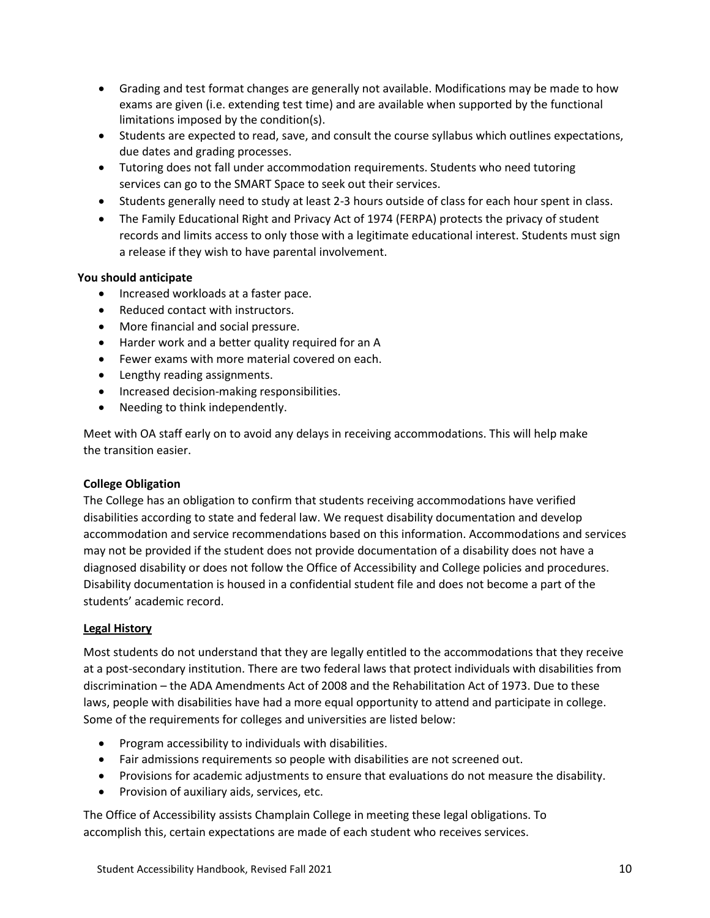- Grading and test format changes are generally not available. Modifications may be made to how exams are given (i.e. extending test time) and are available when supported by the functional limitations imposed by the condition(s).
- Students are expected to read, save, and consult the course syllabus which outlines expectations, due dates and grading processes.
- Tutoring does not fall under accommodation requirements. Students who need tutoring services can go to the SMART Space to seek out their services.
- Students generally need to study at least 2-3 hours outside of class for each hour spent in class.
- The Family Educational Right and Privacy Act of 1974 (FERPA) protects the privacy of student records and limits access to only those with a legitimate educational interest. Students must sign a release if they wish to have parental involvement.

## **You should anticipate**

- Increased workloads at a faster pace.
- Reduced contact with instructors.
- More financial and social pressure.
- Harder work and a better quality required for an A
- Fewer exams with more material covered on each.
- Lengthy reading assignments.
- Increased decision-making responsibilities.
- Needing to think independently.

Meet with OA staff early on to avoid any delays in receiving accommodations. This will help make the transition easier.

## **College Obligation**

The College has an obligation to confirm that students receiving accommodations have verified disabilities according to state and federal law. We request disability documentation and develop accommodation and service recommendations based on this information. Accommodations and services may not be provided if the student does not provide documentation of a disability does not have a diagnosed disability or does not follow the Office of Accessibility and College policies and procedures. Disability documentation is housed in a confidential student file and does not become a part of the students' academic record.

## **Legal History**

Most students do not understand that they are legally entitled to the accommodations that they receive at a post-secondary institution. There are two federal laws that protect individuals with disabilities from discrimination – the ADA Amendments Act of 2008 and the Rehabilitation Act of 1973. Due to these laws, people with disabilities have had a more equal opportunity to attend and participate in college. Some of the requirements for colleges and universities are listed below:

- Program accessibility to individuals with disabilities.
- Fair admissions requirements so people with disabilities are not screened out.
- Provisions for academic adjustments to ensure that evaluations do not measure the disability.
- Provision of auxiliary aids, services, etc.

The Office of Accessibility assists Champlain College in meeting these legal obligations. To accomplish this, certain expectations are made of each student who receives services.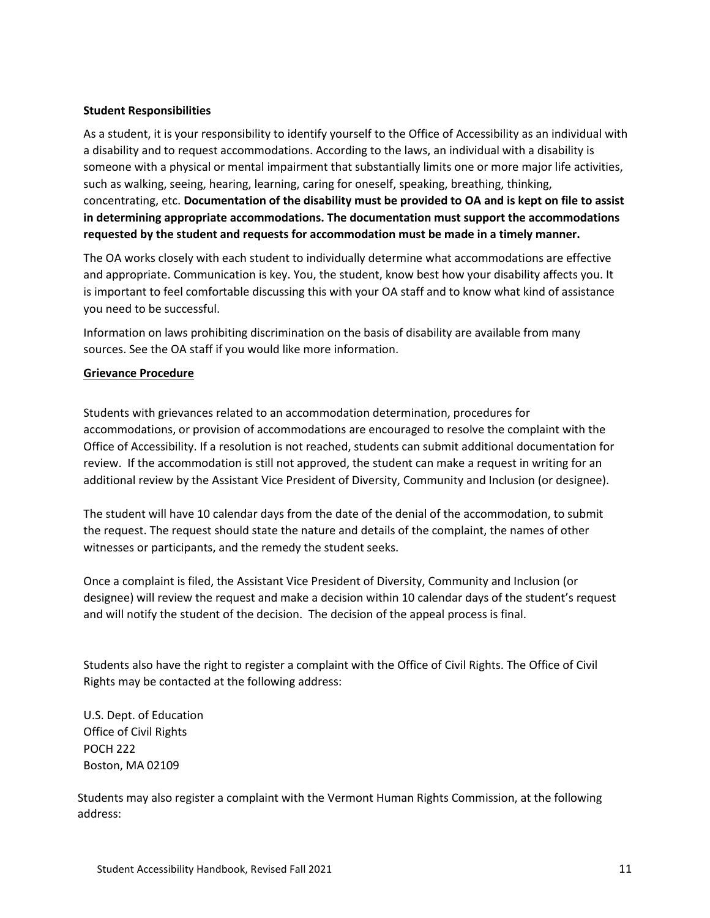### **Student Responsibilities**

As a student, it is your responsibility to identify yourself to the Office of Accessibility as an individual with a disability and to request accommodations. According to the laws, an individual with a disability is someone with a physical or mental impairment that substantially limits one or more major life activities, such as walking, seeing, hearing, learning, caring for oneself, speaking, breathing, thinking, concentrating, etc. **Documentation of the disability must be provided to OA and is kept on file to assist in determining appropriate accommodations. The documentation must support the accommodations requested by the student and requests for accommodation must be made in a timely manner.**

The OA works closely with each student to individually determine what accommodations are effective and appropriate. Communication is key. You, the student, know best how your disability affects you. It is important to feel comfortable discussing this with your OA staff and to know what kind of assistance you need to be successful.

Information on laws prohibiting discrimination on the basis of disability are available from many sources. See the OA staff if you would like more information.

### **Grievance Procedure**

Students with grievances related to an accommodation determination, procedures for accommodations, or provision of accommodations are encouraged to resolve the complaint with the Office of Accessibility. If a resolution is not reached, students can submit additional documentation for review. If the accommodation is still not approved, the student can make a request in writing for an additional review by the Assistant Vice President of Diversity, Community and Inclusion (or designee).

The student will have 10 calendar days from the date of the denial of the accommodation, to submit the request. The request should state the nature and details of the complaint, the names of other witnesses or participants, and the remedy the student seeks.

Once a complaint is filed, the Assistant Vice President of Diversity, Community and Inclusion (or designee) will review the request and make a decision within 10 calendar days of the student's request and will notify the student of the decision. The decision of the appeal process is final.

Students also have the right to register a complaint with the Office of Civil Rights. The Office of Civil Rights may be contacted at the following address:

U.S. Dept. of Education Office of Civil Rights POCH 222 Boston, MA 02109

Students may also register a complaint with the Vermont Human Rights Commission, at the following address: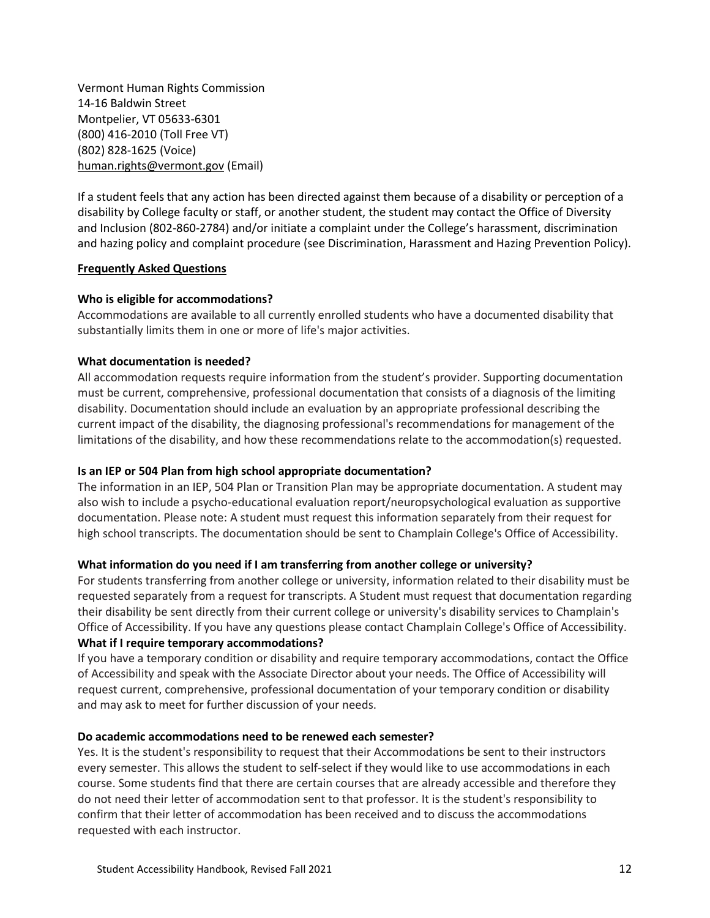Vermont Human Rights Commission 14-16 Baldwin Street Montpelier, VT 05633-6301 (800) 416-2010 (Toll Free VT) (802) 828-1625 (Voice) [human.rights@vermont.gov](mailto:human.rights@vermont.gov) (Email)

If a student feels that any action has been directed against them because of a disability or perception of a disability by College faculty or staff, or another student, the student may contact the Office of Diversity and Inclusion (802-860-2784) and/or initiate a complaint under the College's harassment, discrimination and hazing policy and complaint procedure (see Discrimination, Harassment and Hazing Prevention Policy).

### **Frequently Asked Questions**

## **Who is eligible for accommodations?**

Accommodations are available to all currently enrolled students who have a documented disability that substantially limits them in one or more of life's major activities.

### **What documentation is needed?**

All accommodation requests require information from the student's provider. Supporting documentation must be current, comprehensive, professional documentation that consists of a diagnosis of the limiting disability. Documentation should include an evaluation by an appropriate professional describing the current impact of the disability, the diagnosing professional's recommendations for management of the limitations of the disability, and how these recommendations relate to the accommodation(s) requested.

## **Is an IEP or 504 Plan from high school appropriate documentation?**

The information in an IEP, 504 Plan or Transition Plan may be appropriate documentation. A student may also wish to include a psycho-educational evaluation report/neuropsychological evaluation as supportive documentation. Please note: A student must request this information separately from their request for high school transcripts. The documentation should be sent to Champlain College's Office of Accessibility.

#### **What information do you need if I am transferring from another college or university?**

For students transferring from another college or university, information related to their disability must be requested separately from a request for transcripts. A Student must request that documentation regarding their disability be sent directly from their current college or university's disability services to Champlain's Office of Accessibility. If you have any questions please contact Champlain College's Office of Accessibility. **What if I require temporary accommodations?**

If you have a temporary condition or disability and require temporary accommodations, contact the Office of Accessibility and speak with the Associate Director about your needs. The Office of Accessibility will request current, comprehensive, professional documentation of your temporary condition or disability and may ask to meet for further discussion of your needs.

### **Do academic accommodations need to be renewed each semester?**

Yes. It is the student's responsibility to request that their Accommodations be sent to their instructors every semester. This allows the student to self-select if they would like to use accommodations in each course. Some students find that there are certain courses that are already accessible and therefore they do not need their letter of accommodation sent to that professor. It is the student's responsibility to confirm that their letter of accommodation has been received and to discuss the accommodations requested with each instructor.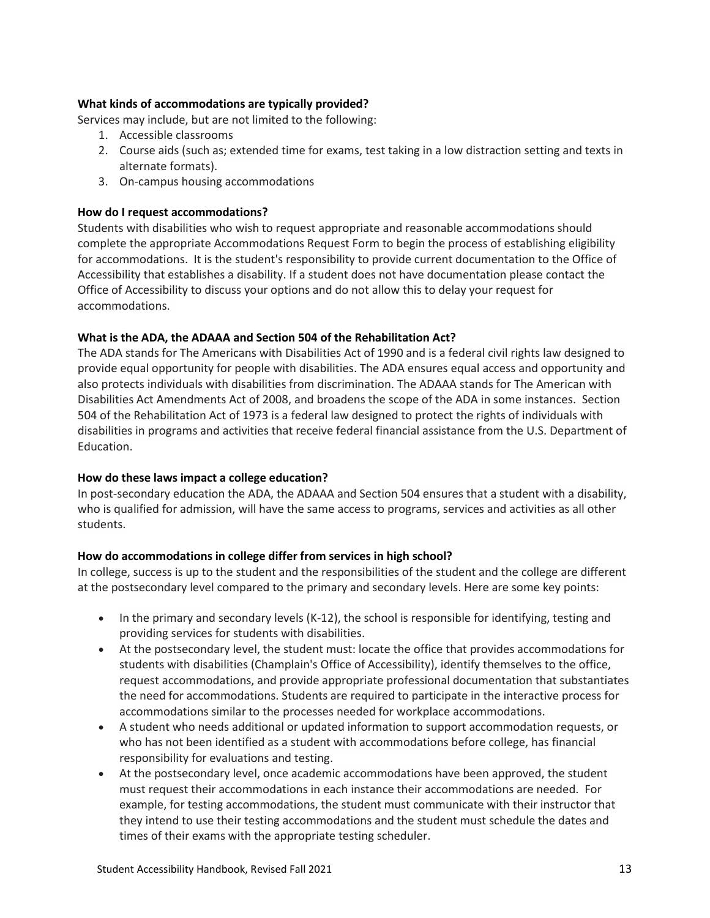## **What kinds of accommodations are typically provided?**

Services may include, but are not limited to the following:

- 1. Accessible classrooms
- 2. Course aids (such as; extended time for exams, test taking in a low distraction setting and texts in alternate formats).
- 3. On-campus housing accommodations

## **How do I request accommodations?**

Students with disabilities who wish to request appropriate and reasonable accommodations should complete the appropriate Accommodations Request Form to begin the process of establishing eligibility for accommodations. It is the student's responsibility to provide current documentation to the Office of Accessibility that establishes a disability. If a student does not have documentation please contact the Office of Accessibility to discuss your options and do not allow this to delay your request for accommodations.

## **What is the ADA, the ADAAA and Section 504 of the Rehabilitation Act?**

The ADA stands for The Americans with Disabilities Act of 1990 and is a federal civil rights law designed to provide equal opportunity for people with disabilities. The ADA ensures equal access and opportunity and also protects individuals with disabilities from discrimination. The ADAAA stands for The American with Disabilities Act Amendments Act of 2008, and broadens the scope of the ADA in some instances. Section 504 of the Rehabilitation Act of 1973 is a federal law designed to protect the rights of individuals with disabilities in programs and activities that receive federal financial assistance from the U.S. Department of Education.

## **How do these laws impact a college education?**

In post-secondary education the ADA, the ADAAA and Section 504 ensures that a student with a disability, who is qualified for admission, will have the same access to programs, services and activities as all other students.

## **How do accommodations in college differ from services in high school?**

In college, success is up to the student and the responsibilities of the student and the college are different at the postsecondary level compared to the primary and secondary levels. Here are some key points:

- In the primary and secondary levels (K-12), the school is responsible for identifying, testing and providing services for students with disabilities.
- At the postsecondary level, the student must: locate the office that provides accommodations for students with disabilities (Champlain's Office of Accessibility), identify themselves to the office, request accommodations, and provide appropriate professional documentation that substantiates the need for accommodations. Students are required to participate in the interactive process for accommodations similar to the processes needed for workplace accommodations.
- A student who needs additional or updated information to support accommodation requests, or who has not been identified as a student with accommodations before college, has financial responsibility for evaluations and testing.
- At the postsecondary level, once academic accommodations have been approved, the student must request their accommodations in each instance their accommodations are needed. For example, for testing accommodations, the student must communicate with their instructor that they intend to use their testing accommodations and the student must schedule the dates and times of their exams with the appropriate testing scheduler.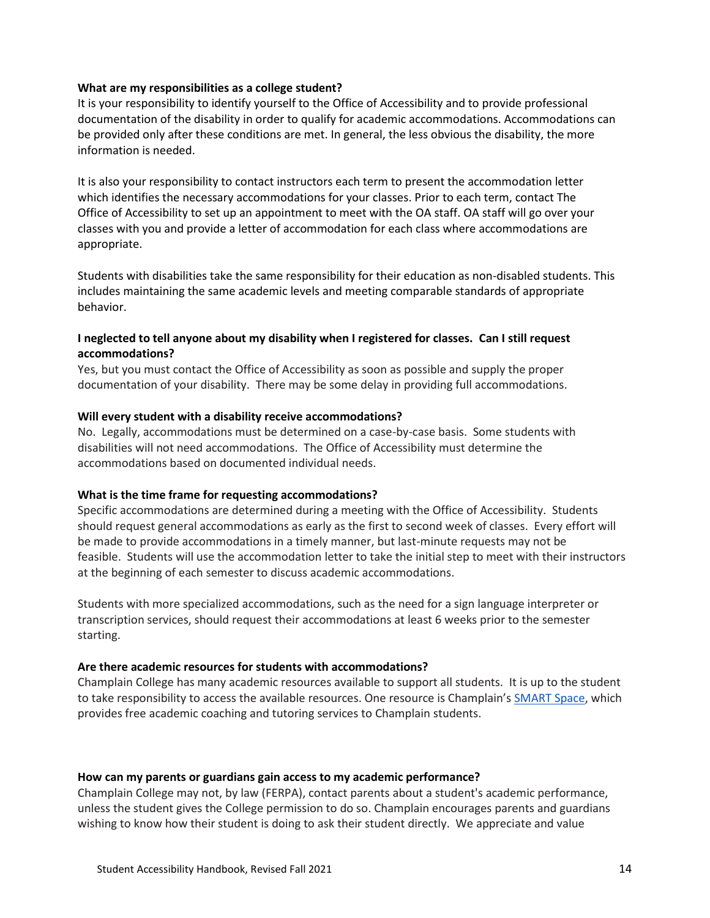#### **What are my responsibilities as a college student?**

It is your responsibility to identify yourself to the Office of Accessibility and to provide professional documentation of the disability in order to qualify for academic accommodations. Accommodations can be provided only after these conditions are met. In general, the less obvious the disability, the more information is needed.

It is also your responsibility to contact instructors each term to present the accommodation letter which identifies the necessary accommodations for your classes. Prior to each term, contact The Office of Accessibility to set up an appointment to meet with the OA staff. OA staff will go over your classes with you and provide a letter of accommodation for each class where accommodations are appropriate.

Students with disabilities take the same responsibility for their education as non-disabled students. This includes maintaining the same academic levels and meeting comparable standards of appropriate behavior.

## **I neglected to tell anyone about my disability when I registered for classes. Can I still request accommodations?**

Yes, but you must contact the Office of Accessibility as soon as possible and supply the proper documentation of your disability. There may be some delay in providing full accommodations.

### **Will every student with a disability receive accommodations?**

No. Legally, accommodations must be determined on a case-by-case basis. Some students with disabilities will not need accommodations. The Office of Accessibility must determine the accommodations based on documented individual needs.

#### **What is the time frame for requesting accommodations?**

Specific accommodations are determined during a meeting with the Office of Accessibility. Students should request general accommodations as early as the first to second week of classes. Every effort will be made to provide accommodations in a timely manner, but last-minute requests may not be feasible. Students will use the accommodation letter to take the initial step to meet with their instructors at the beginning of each semester to discuss academic accommodations.

Students with more specialized accommodations, such as the need for a sign language interpreter or transcription services, should request their accommodations at least 6 weeks prior to the semester starting.

#### **Are there academic resources for students with accommodations?**

Champlain College has many academic resources available to support all students. It is up to the student to take responsibility to access the available resources. One resource is Champlain's [SMART Space,](https://www.champlain.edu/current-students/academic-information/academic-support-programs_current-students) which provides free academic coaching and tutoring services to Champlain students.

#### **How can my parents or guardians gain access to my academic performance?**

Champlain College may not, by law (FERPA), contact parents about a student's academic performance, unless the student gives the College permission to do so. Champlain encourages parents and guardians wishing to know how their student is doing to ask their student directly. We appreciate and value